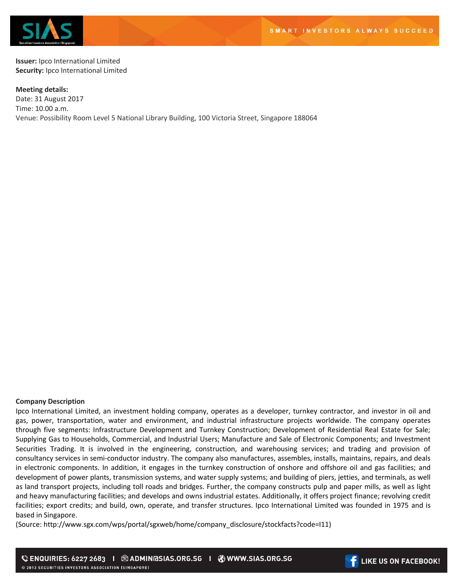

**Issuer:** Ipco International Limited **Security:** Ipco International Limited

**Meeting details:**  Date: 31 August 2017 Time: 10.00 a.m. Venue: Possibility Room Level 5 National Library Building, 100 Victoria Street, Singapore 188064

## **Company Description**

Ipco International Limited, an investment holding company, operates as a developer, turnkey contractor, and investor in oil and gas, power, transportation, water and environment, and industrial infrastructure projects worldwide. The company operates through five segments: Infrastructure Development and Turnkey Construction; Development of Residential Real Estate for Sale; Supplying Gas to Households, Commercial, and Industrial Users; Manufacture and Sale of Electronic Components; and Investment Securities Trading. It is involved in the engineering, construction, and warehousing services; and trading and provision of consultancy services in semi-conductor industry. The company also manufactures, assembles, installs, maintains, repairs, and deals in electronic components. In addition, it engages in the turnkey construction of onshore and offshore oil and gas facilities; and development of power plants, transmission systems, and water supply systems; and building of piers, jetties, and terminals, as well as land transport projects, including toll roads and bridges. Further, the company constructs pulp and paper mills, as well as light and heavy manufacturing facilities; and develops and owns industrial estates. Additionally, it offers project finance; revolving credit facilities; export credits; and build, own, operate, and transfer structures. Ipco International Limited was founded in 1975 and is based in Singapore.

(Source: http://www.sgx.com/wps/portal/sgxweb/home/company\_disclosure/stockfacts?code=I11)

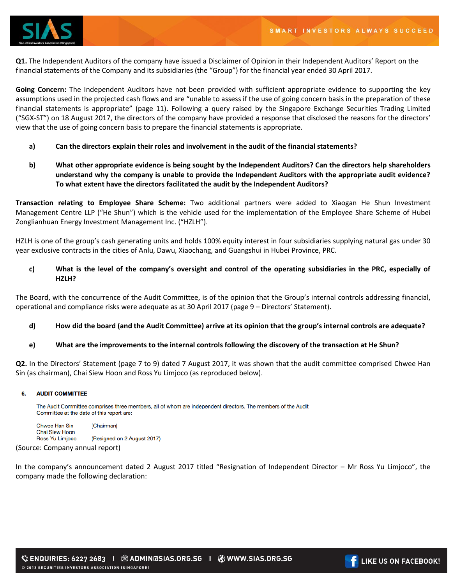

**Q1.** The Independent Auditors of the company have issued a Disclaimer of Opinion in their Independent Auditors' Report on the financial statements of the Company and its subsidiaries (the "Group") for the financial year ended 30 April 2017.

**Going Concern:** The Independent Auditors have not been provided with sufficient appropriate evidence to supporting the key assumptions used in the projected cash flows and are "unable to assess if the use of going concern basis in the preparation of these financial statements is appropriate" (page 11). Following a query raised by the Singapore Exchange Securities Trading Limited ("SGX-ST") on 18 August 2017, the directors of the company have provided a response that disclosed the reasons for the directors' view that the use of going concern basis to prepare the financial statements is appropriate.

- **a) Can the directors explain their roles and involvement in the audit of the financial statements?**
- **b) What other appropriate evidence is being sought by the Independent Auditors? Can the directors help shareholders understand why the company is unable to provide the Independent Auditors with the appropriate audit evidence? To what extent have the directors facilitated the audit by the Independent Auditors?**

**Transaction relating to Employee Share Scheme:** Two additional partners were added to Xiaogan He Shun Investment Management Centre LLP ("He Shun") which is the vehicle used for the implementation of the Employee Share Scheme of Hubei Zonglianhuan Energy Investment Management Inc. ("HZLH").

HZLH is one of the group's cash generating units and holds 100% equity interest in four subsidiaries supplying natural gas under 30 year exclusive contracts in the cities of Anlu, Dawu, Xiaochang, and Guangshui in Hubei Province, PRC.

# **c) What is the level of the company's oversight and control of the operating subsidiaries in the PRC, especially of HZLH?**

The Board, with the concurrence of the Audit Committee, is of the opinion that the Group's internal controls addressing financial, operational and compliance risks were adequate as at 30 April 2017 (page 9 – Directors' Statement).

## **d) How did the board (and the Audit Committee) arrive at its opinion that the group's internal controls are adequate?**

## **e) What are the improvements to the internal controls following the discovery of the transaction at He Shun?**

**Q2.** In the Directors' Statement (page 7 to 9) dated 7 August 2017, it was shown that the audit committee comprised Chwee Han Sin (as chairman), Chai Siew Hoon and Ross Yu Limjoco (as reproduced below).

#### 6. **AUDIT COMMITTEE**

The Audit Committee comprises three members, all of whom are independent directors. The members of the Audit Committee at the date of this report are:

Chwee Han Sin (Chairman) Chai Siew Hoon Ross Yu Limjoco (Resigned on 2 August 2017)

(Source: Company annual report)

In the company's announcement dated 2 August 2017 titled "Resignation of Independent Director – Mr Ross Yu Limjoco", the company made the following declaration:

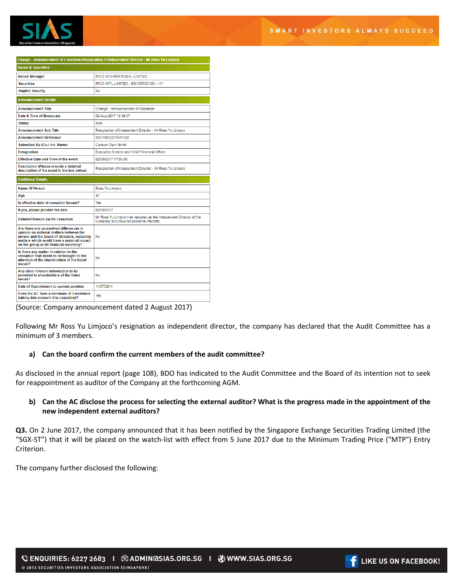

| Change - Announcement of Cessation::Resignation of Independent Director - Mr Ross Yu Limjoco                                                                                                                                 |                                                                                                                 |
|------------------------------------------------------------------------------------------------------------------------------------------------------------------------------------------------------------------------------|-----------------------------------------------------------------------------------------------------------------|
| <b>Issuer &amp; Securities</b>                                                                                                                                                                                               |                                                                                                                 |
| <b>Issuer/Manager</b>                                                                                                                                                                                                        | <b>IPCO INTERNATIONAL LIMITED</b>                                                                               |
| <b>Securities</b>                                                                                                                                                                                                            | IPCO INT'L LIMITED - SG1C67001091 - I11                                                                         |
| <b>Stapled Security</b>                                                                                                                                                                                                      | No                                                                                                              |
| <b>Announcement Details</b>                                                                                                                                                                                                  |                                                                                                                 |
| <b>Announcement Title</b>                                                                                                                                                                                                    | Change - Announcement of Cessation                                                                              |
| Date & Time of Broadcast                                                                                                                                                                                                     | 02-Aug-2017 19:39:07                                                                                            |
| <b>Status</b>                                                                                                                                                                                                                | New                                                                                                             |
| <b>Announcement Sub Title</b>                                                                                                                                                                                                | Resignation of Independent Director - Mr Ross Yu Limjoco                                                        |
| <b>Announcement Reference</b>                                                                                                                                                                                                | SG170802OTHR1IS6                                                                                                |
| Submitted By (Co./ Ind. Name)                                                                                                                                                                                                | <b>Carlson Clark Smith</b>                                                                                      |
| <b>Designation</b>                                                                                                                                                                                                           | <b>Executive Director and Chief Einancial Officer</b>                                                           |
| <b>Effective Date and Time of the event</b>                                                                                                                                                                                  | 02/08/2017 17:00:00                                                                                             |
| <b>Description (Please provide a detailed</b><br>description of the event in the box below)                                                                                                                                  | Resignation of Independent Director - Mr Ross Yu Limioco                                                        |
| <b>Additional Details</b>                                                                                                                                                                                                    |                                                                                                                 |
| <b>Name Of Person</b>                                                                                                                                                                                                        | Ross Yu Limioco                                                                                                 |
| Age                                                                                                                                                                                                                          | 47                                                                                                              |
| Is effective date of cessation known?                                                                                                                                                                                        | Yes                                                                                                             |
| If yes, please provide the date                                                                                                                                                                                              | 02/08/2017                                                                                                      |
| <b>Detailed Reason (s) for cessation</b>                                                                                                                                                                                     | Mr Ross Yu Limioco has resigned as the Independent Director of the<br>Company to pursue his personal interests. |
| Are there any unresolved differences in<br>opinion on material matters between the<br>person and the board of directors, including<br>matters which would have a material impact<br>on the group or its financial reporting? | <b>No</b>                                                                                                       |
| Is there any matter in relation to the<br>cessation that needs to be brought to the<br>attention of the shareholders of the listed<br>issuer?                                                                                | No                                                                                                              |
| Any other relevant information to be<br>provided to shareholders of the listed<br>issuer?                                                                                                                                    | <b>No</b>                                                                                                       |
| Date of Appointment to current position                                                                                                                                                                                      | 11/07/2014                                                                                                      |
| Does the AC have a minimum of 3 members<br>(taking into account this cessation)?                                                                                                                                             | Yes                                                                                                             |

(Source: Company announcement dated 2 August 2017)

Following Mr Ross Yu Limjoco's resignation as independent director, the company has declared that the Audit Committee has a minimum of 3 members.

## **a) Can the board confirm the current members of the audit committee?**

As disclosed in the annual report (page 108), BDO has indicated to the Audit Committee and the Board of its intention not to seek for reappointment as auditor of the Company at the forthcoming AGM.

## **b) Can the AC disclose the process for selecting the external auditor? What is the progress made in the appointment of the new independent external auditors?**

**Q3.** On 2 June 2017, the company announced that it has been notified by the Singapore Exchange Securities Trading Limited (the "SGX-ST") that it will be placed on the watch-list with effect from 5 June 2017 due to the Minimum Trading Price ("MTP") Entry **Criterion** 

The company further disclosed the following: